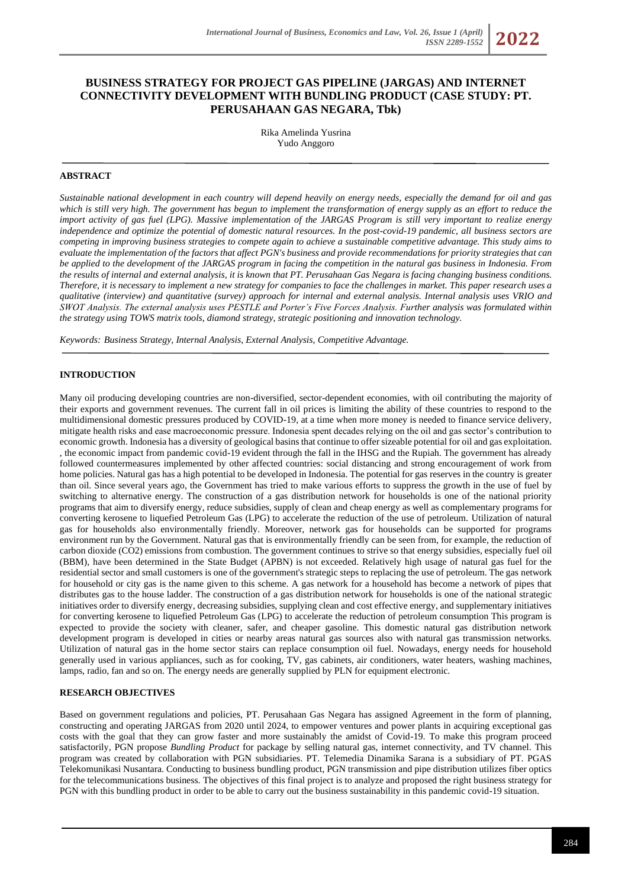# **BUSINESS STRATEGY FOR PROJECT GAS PIPELINE (JARGAS) AND INTERNET CONNECTIVITY DEVELOPMENT WITH BUNDLING PRODUCT (CASE STUDY: PT. PERUSAHAAN GAS NEGARA, Tbk)**

Rika Amelinda Yusrina Yudo Anggoro

### **ABSTRACT**

*Sustainable national development in each country will depend heavily on energy needs, especially the demand for oil and gas which is still very high. The government has begun to implement the transformation of energy supply as an effort to reduce the import activity of gas fuel (LPG). Massive implementation of the JARGAS Program is still very important to realize energy independence and optimize the potential of domestic natural resources. In the post-covid-19 pandemic, all business sectors are competing in improving business strategies to compete again to achieve a sustainable competitive advantage. This study aims to evaluate the implementation of the factors that affect PGN's business and provide recommendations for priority strategies that can be applied to the development of the JARGAS program in facing the competition in the natural gas business in Indonesia. From the results of internal and external analysis, it is known that PT. Perusahaan Gas Negara is facing changing business conditions. Therefore, it is necessary to implement a new strategy for companies to face the challenges in market. This paper research uses a qualitative (interview) and quantitative (survey) approach for internal and external analysis. Internal analysis uses VRIO and SWOT Analysis. The external analysis uses PESTLE and Porter's Five Forces Analysis. Further analysis was formulated within the strategy using TOWS matrix tools, diamond strategy, strategic positioning and innovation technology.*

*Keywords: Business Strategy, Internal Analysis, External Analysis, Competitive Advantage.*

#### **INTRODUCTION**

Many oil producing developing countries are non-diversified, sector-dependent economies, with oil contributing the majority of their exports and government revenues. The current fall in oil prices is limiting the ability of these countries to respond to the multidimensional domestic pressures produced by COVID-19, at a time when more money is needed to finance service delivery, mitigate health risks and ease macroeconomic pressure. Indonesia spent decades relying on the oil and gas sector's contribution to economic growth. Indonesia has a diversity of geological basins that continue to offer sizeable potential for oil and gas exploitation. , the economic impact from pandemic covid-19 evident through the fall in the IHSG and the Rupiah. The government has already followed countermeasures implemented by other affected countries: social distancing and strong encouragement of work from home policies. Natural gas has a high potential to be developed in Indonesia. The potential for gas reserves in the country is greater than oil. Since several years ago, the Government has tried to make various efforts to suppress the growth in the use of fuel by switching to alternative energy. The construction of a gas distribution network for households is one of the national priority programs that aim to diversify energy, reduce subsidies, supply of clean and cheap energy as well as complementary programs for converting kerosene to liquefied Petroleum Gas (LPG) to accelerate the reduction of the use of petroleum. Utilization of natural gas for households also environmentally friendly. Moreover, network gas for households can be supported for programs environment run by the Government. Natural gas that is environmentally friendly can be seen from, for example, the reduction of carbon dioxide (CO2) emissions from combustion. The government continues to strive so that energy subsidies, especially fuel oil (BBM), have been determined in the State Budget (APBN) is not exceeded. Relatively high usage of natural gas fuel for the residential sector and small customers is one of the government's strategic steps to replacing the use of petroleum. The gas network for household or city gas is the name given to this scheme. A gas network for a household has become a network of pipes that distributes gas to the house ladder. The construction of a gas distribution network for households is one of the national strategic initiatives order to diversify energy, decreasing subsidies, supplying clean and cost effective energy, and supplementary initiatives for converting kerosene to liquefied Petroleum Gas (LPG) to accelerate the reduction of petroleum consumption This program is expected to provide the society with cleaner, safer, and cheaper gasoline. This domestic natural gas distribution network development program is developed in cities or nearby areas natural gas sources also with natural gas transmission networks. Utilization of natural gas in the home sector stairs can replace consumption oil fuel. Nowadays, energy needs for household generally used in various appliances, such as for cooking, TV, gas cabinets, air conditioners, water heaters, washing machines, lamps, radio, fan and so on. The energy needs are generally supplied by PLN for equipment electronic.

### **RESEARCH OBJECTIVES**

Based on government regulations and policies, PT. Perusahaan Gas Negara has assigned Agreement in the form of planning, constructing and operating JARGAS from 2020 until 2024, to empower ventures and power plants in acquiring exceptional gas costs with the goal that they can grow faster and more sustainably the amidst of Covid-19. To make this program proceed satisfactorily, PGN propose *Bundling Product* for package by selling natural gas, internet connectivity, and TV channel. This program was created by collaboration with PGN subsidiaries. PT. Telemedia Dinamika Sarana is a subsidiary of PT. PGAS Telekomunikasi Nusantara. Conducting to business bundling product, PGN transmission and pipe distribution utilizes fiber optics for the telecommunications business. The objectives of this final project is to analyze and proposed the right business strategy for PGN with this bundling product in order to be able to carry out the business sustainability in this pandemic covid-19 situation.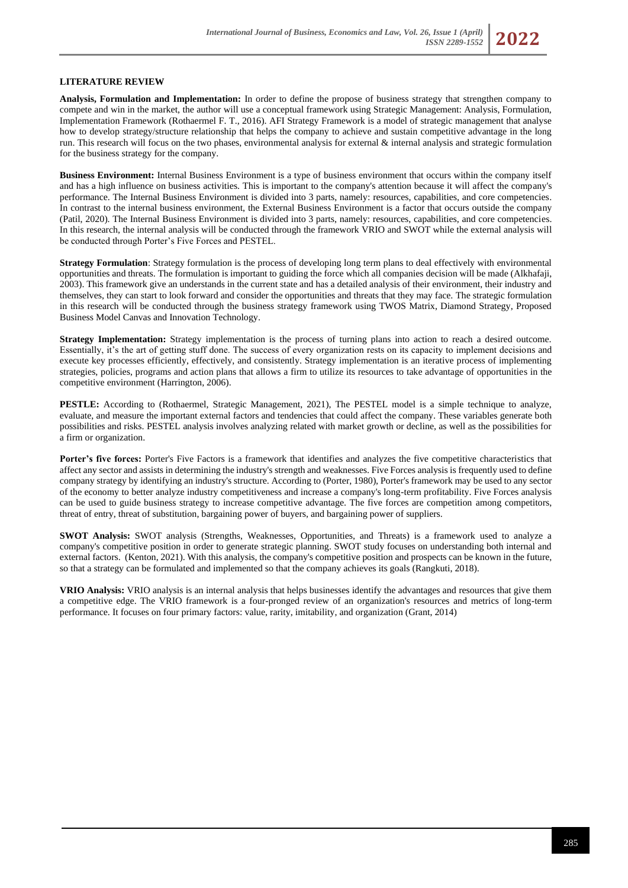## **LITERATURE REVIEW**

**Analysis, Formulation and Implementation:** In order to define the propose of business strategy that strengthen company to compete and win in the market, the author will use a conceptual framework using Strategic Management: Analysis, Formulation, Implementation Framework (Rothaermel F. T., 2016). AFI Strategy Framework is a model of strategic management that analyse how to develop strategy/structure relationship that helps the company to achieve and sustain competitive advantage in the long run. This research will focus on the two phases, environmental analysis for external  $\&$  internal analysis and strategic formulation for the business strategy for the company.

**Business Environment:** Internal Business Environment is a type of business environment that occurs within the company itself and has a high influence on business activities. This is important to the company's attention because it will affect the company's performance. The Internal Business Environment is divided into 3 parts, namely: resources, capabilities, and core competencies. In contrast to the internal business environment, the External Business Environment is a factor that occurs outside the company (Patil, 2020). The Internal Business Environment is divided into 3 parts, namely: resources, capabilities, and core competencies. In this research, the internal analysis will be conducted through the framework VRIO and SWOT while the external analysis will be conducted through Porter's Five Forces and PESTEL.

**Strategy Formulation**: Strategy formulation is the process of developing long term plans to deal effectively with environmental opportunities and threats. The formulation is important to guiding the force which all companies decision will be made (Alkhafaji, 2003). This framework give an understands in the current state and has a detailed analysis of their environment, their industry and themselves, they can start to look forward and consider the opportunities and threats that they may face. The strategic formulation in this research will be conducted through the business strategy framework using TWOS Matrix, Diamond Strategy, Proposed Business Model Canvas and Innovation Technology.

**Strategy Implementation:** Strategy implementation is the process of turning plans into action to reach a desired outcome. Essentially, it's the art of getting stuff done. The success of every organization rests on its capacity to implement decisions and execute key processes efficiently, effectively, and consistently. Strategy implementation is an iterative process of implementing strategies, policies, programs and action plans that allows a firm to utilize its resources to take advantage of opportunities in the competitive environment (Harrington, 2006).

**PESTLE:** According to (Rothaermel, Strategic Management, 2021), The PESTEL model is a simple technique to analyze, evaluate, and measure the important external factors and tendencies that could affect the company. These variables generate both possibilities and risks. PESTEL analysis involves analyzing related with market growth or decline, as well as the possibilities for a firm or organization.

**Porter's five forces:** Porter's Five Factors is a framework that identifies and analyzes the five competitive characteristics that affect any sector and assists in determining the industry's strength and weaknesses. Five Forces analysis is frequently used to define company strategy by identifying an industry's structure. According to (Porter, 1980), Porter's framework may be used to any sector of the economy to better analyze industry competitiveness and increase a company's long-term profitability. Five Forces analysis can be used to guide business strategy to increase competitive advantage. The five forces are competition among competitors, threat of entry, threat of substitution, bargaining power of buyers, and bargaining power of suppliers.

**SWOT Analysis:** SWOT analysis (Strengths, Weaknesses, Opportunities, and Threats) is a framework used to analyze a company's competitive position in order to generate strategic planning. SWOT study focuses on understanding both internal and external factors. (Kenton, 2021). With this analysis, the company's competitive position and prospects can be known in the future, so that a strategy can be formulated and implemented so that the company achieves its goals (Rangkuti, 2018).

**VRIO Analysis:** VRIO analysis is an internal analysis that helps businesses identify the advantages and resources that give them a competitive edge. The VRIO framework is a four-pronged review of an organization's resources and metrics of long-term performance. It focuses on four primary factors: value, rarity, imitability, and organization (Grant, 2014)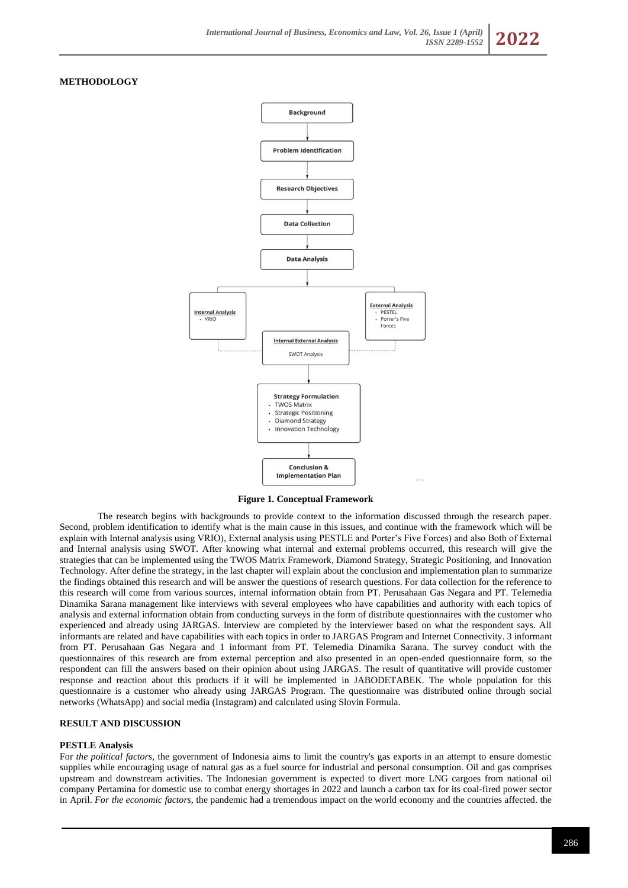### **METHODOLOGY**



**Figure 1. Conceptual Framework**

The research begins with backgrounds to provide context to the information discussed through the research paper. Second, problem identification to identify what is the main cause in this issues, and continue with the framework which will be explain with Internal analysis using VRIO), External analysis using PESTLE and Porter's Five Forces) and also Both of External and Internal analysis using SWOT. After knowing what internal and external problems occurred, this research will give the strategies that can be implemented using the TWOS Matrix Framework, Diamond Strategy, Strategic Positioning, and Innovation Technology. After define the strategy, in the last chapter will explain about the conclusion and implementation plan to summarize the findings obtained this research and will be answer the questions of research questions. For data collection for the reference to this research will come from various sources, internal information obtain from PT. Perusahaan Gas Negara and PT. Telemedia Dinamika Sarana management like interviews with several employees who have capabilities and authority with each topics of analysis and external information obtain from conducting surveys in the form of distribute questionnaires with the customer who experienced and already using JARGAS. Interview are completed by the interviewer based on what the respondent says. All informants are related and have capabilities with each topics in order to JARGAS Program and Internet Connectivity. 3 informant from PT. Perusahaan Gas Negara and 1 informant from PT. Telemedia Dinamika Sarana. The survey conduct with the questionnaires of this research are from external perception and also presented in an open-ended questionnaire form, so the respondent can fill the answers based on their opinion about using JARGAS. The result of quantitative will provide customer response and reaction about this products if it will be implemented in JABODETABEK. The whole population for this questionnaire is a customer who already using JARGAS Program. The questionnaire was distributed online through social networks (WhatsApp) and social media (Instagram) and calculated using Slovin Formula.

#### **RESULT AND DISCUSSION**

### **PESTLE Analysis**

For *the political factors*, the government of Indonesia aims to limit the country's gas exports in an attempt to ensure domestic supplies while encouraging usage of natural gas as a fuel source for industrial and personal consumption. Oil and gas comprises upstream and downstream activities. The Indonesian government is expected to divert more LNG cargoes from national oil company Pertamina for domestic use to combat energy shortages in 2022 and launch a carbon tax for its coal-fired power sector in April. *For the economic factors*, the pandemic had a tremendous impact on the world economy and the countries affected. the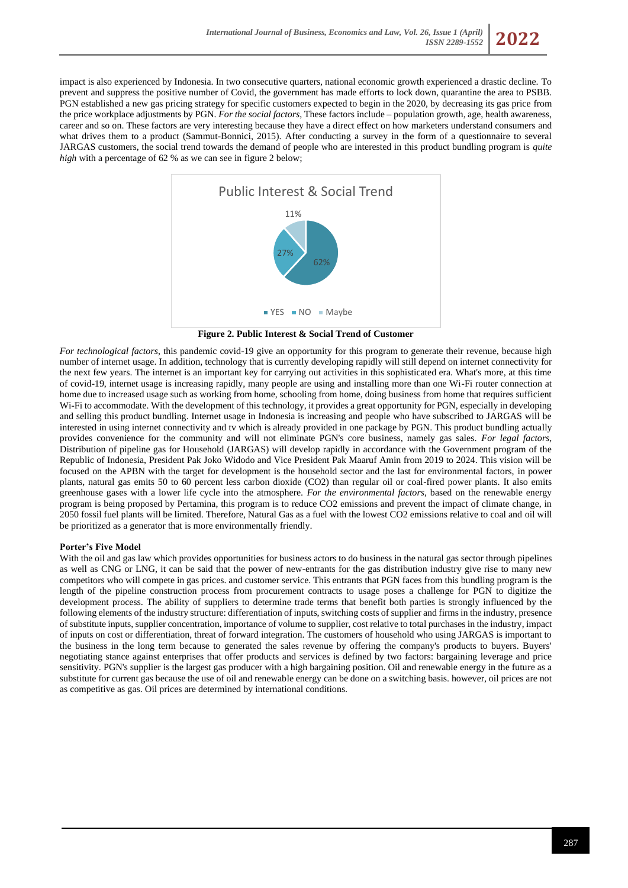



**Figure 2. Public Interest & Social Trend of Customer**

*For technological factors*, this pandemic covid-19 give an opportunity for this program to generate their revenue, because high number of internet usage. In addition, technology that is currently developing rapidly will still depend on internet connectivity for the next few years. The internet is an important key for carrying out activities in this sophisticated era. What's more, at this time of covid-19, internet usage is increasing rapidly, many people are using and installing more than one Wi-Fi router connection at home due to increased usage such as working from home, schooling from home, doing business from home that requires sufficient Wi-Fi to accommodate. With the development of this technology, it provides a great opportunity for PGN, especially in developing and selling this product bundling. Internet usage in Indonesia is increasing and people who have subscribed to JARGAS will be interested in using internet connectivity and tv which is already provided in one package by PGN. This product bundling actually provides convenience for the community and will not eliminate PGN's core business, namely gas sales. *For legal factors*, Distribution of pipeline gas for Household (JARGAS) will develop rapidly in accordance with the Government program of the Republic of Indonesia, President Pak Joko Widodo and Vice President Pak Maaruf Amin from 2019 to 2024. This vision will be focused on the APBN with the target for development is the household sector and the last for environmental factors, in power plants, natural gas emits 50 to 60 percent less carbon dioxide (CO2) than regular oil or coal-fired power plants. It also emits greenhouse gases with a lower life cycle into the atmosphere. *For the environmental factors*, based on the renewable energy program is being proposed by Pertamina, this program is to reduce CO2 emissions and prevent the impact of climate change, in 2050 fossil fuel plants will be limited. Therefore, Natural Gas as a fuel with the lowest CO2 emissions relative to coal and oil will be prioritized as a generator that is more environmentally friendly.

### **Porter's Five Model**

With the oil and gas law which provides opportunities for business actors to do business in the natural gas sector through pipelines as well as CNG or LNG, it can be said that the power of new-entrants for the gas distribution industry give rise to many new competitors who will compete in gas prices. and customer service. This entrants that PGN faces from this bundling program is the length of the pipeline construction process from procurement contracts to usage poses a challenge for PGN to digitize the development process. The ability of suppliers to determine trade terms that benefit both parties is strongly influenced by the following elements of the industry structure: differentiation of inputs, switching costs of supplier and firms in the industry, presence of substitute inputs, supplier concentration, importance of volume to supplier, cost relative to total purchases in the industry, impact of inputs on cost or differentiation, threat of forward integration. The customers of household who using JARGAS is important to the business in the long term because to generated the sales revenue by offering the company's products to buyers. Buyers' negotiating stance against enterprises that offer products and services is defined by two factors: bargaining leverage and price sensitivity. PGN's supplier is the largest gas producer with a high bargaining position. Oil and renewable energy in the future as a substitute for current gas because the use of oil and renewable energy can be done on a switching basis. however, oil prices are not as competitive as gas. Oil prices are determined by international conditions.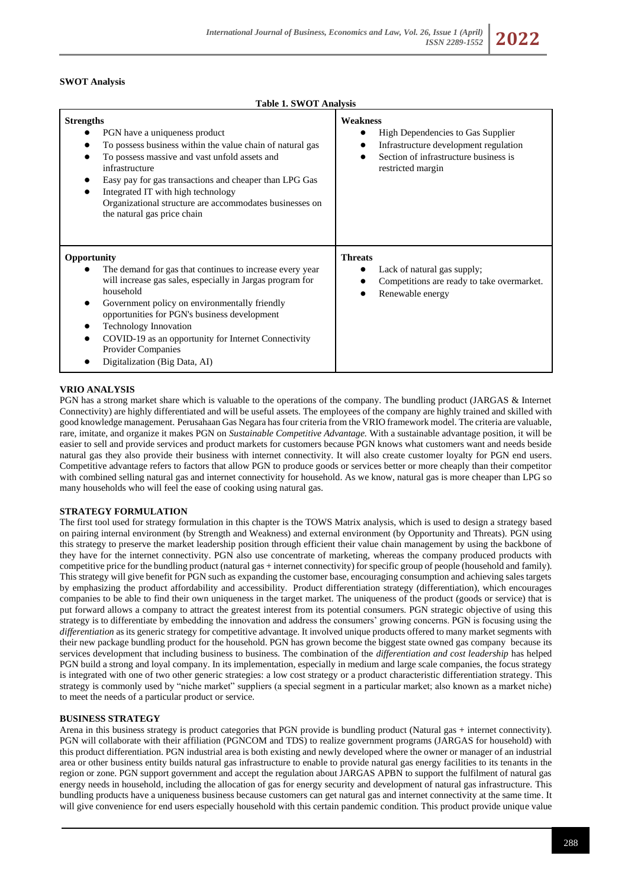### **SWOT Analysis**

#### **Table 1. SWOT Analysis**

| <b>Strengths</b><br>PGN have a uniqueness product<br>To possess business within the value chain of natural gas<br>To possess massive and vast unfold assets and<br>infrastructure<br>Easy pay for gas transactions and cheaper than LPG Gas<br>Integrated IT with high technology<br>Organizational structure are accommodates businesses on<br>the natural gas price chain                       | Weakness<br>High Dependencies to Gas Supplier<br>Infrastructure development regulation<br>Section of infrastructure business is<br>restricted margin |
|---------------------------------------------------------------------------------------------------------------------------------------------------------------------------------------------------------------------------------------------------------------------------------------------------------------------------------------------------------------------------------------------------|------------------------------------------------------------------------------------------------------------------------------------------------------|
| Opportunity<br>The demand for gas that continues to increase every year<br>will increase gas sales, especially in Jargas program for<br>household<br>Government policy on environmentally friendly<br>opportunities for PGN's business development<br><b>Technology Innovation</b><br>COVID-19 as an opportunity for Internet Connectivity<br>Provider Companies<br>Digitalization (Big Data, AI) | <b>Threats</b><br>Lack of natural gas supply;<br>Competitions are ready to take overmarket.<br>Renewable energy                                      |

#### **VRIO ANALYSIS**

PGN has a strong market share which is valuable to the operations of the company. The bundling product (JARGAS & Internet Connectivity) are highly differentiated and will be useful assets. The employees of the company are highly trained and skilled with good knowledge management. Perusahaan Gas Negara has four criteria from the VRIO framework model. The criteria are valuable, rare, imitate, and organize it makes PGN on *Sustainable Competitive Advantage.* With a sustainable advantage position, it will be easier to sell and provide services and product markets for customers because PGN knows what customers want and needs beside natural gas they also provide their business with internet connectivity. It will also create customer loyalty for PGN end users. Competitive advantage refers to factors that allow PGN to produce goods or services better or more cheaply than their competitor with combined selling natural gas and internet connectivity for household. As we know, natural gas is more cheaper than LPG so many households who will feel the ease of cooking using natural gas.

#### **STRATEGY FORMULATION**

The first tool used for strategy formulation in this chapter is the TOWS Matrix analysis, which is used to design a strategy based on pairing internal environment (by Strength and Weakness) and external environment (by Opportunity and Threats). PGN using this strategy to preserve the market leadership position through efficient their value chain management by using the backbone of they have for the internet connectivity. PGN also use concentrate of marketing, whereas the company produced products with competitive price for the bundling product (natural gas + internet connectivity) for specific group of people (household and family). This strategy will give benefit for PGN such as expanding the customer base, encouraging consumption and achieving sales targets by emphasizing the product affordability and accessibility. Product differentiation strategy (differentiation), which encourages companies to be able to find their own uniqueness in the target market. The uniqueness of the product (goods or service) that is put forward allows a company to attract the greatest interest from its potential consumers. PGN strategic objective of using this strategy is to differentiate by embedding the innovation and address the consumers' growing concerns. PGN is focusing using the *differentiation* as its generic strategy for competitive advantage. It involved unique products offered to many market segments with their new package bundling product for the household. PGN has grown become the biggest state owned gas company because its services development that including business to business. The combination of the *differentiation and cost leadership* has helped PGN build a strong and loyal company. In its implementation, especially in medium and large scale companies, the focus strategy is integrated with one of two other generic strategies: a low cost strategy or a product characteristic differentiation strategy. This strategy is commonly used by "niche market" suppliers (a special segment in a particular market; also known as a market niche) to meet the needs of a particular product or service.

#### **BUSINESS STRATEGY**

Arena in this business strategy is product categories that PGN provide is bundling product (Natural gas + internet connectivity). PGN will collaborate with their affiliation (PGNCOM and TDS) to realize government programs (JARGAS for household) with this product differentiation. PGN industrial area is both existing and newly developed where the owner or manager of an industrial area or other business entity builds natural gas infrastructure to enable to provide natural gas energy facilities to its tenants in the region or zone. PGN support government and accept the regulation about JARGAS APBN to support the fulfilment of natural gas energy needs in household, including the allocation of gas for energy security and development of natural gas infrastructure. This bundling products have a uniqueness business because customers can get natural gas and internet connectivity at the same time. It will give convenience for end users especially household with this certain pandemic condition. This product provide unique value